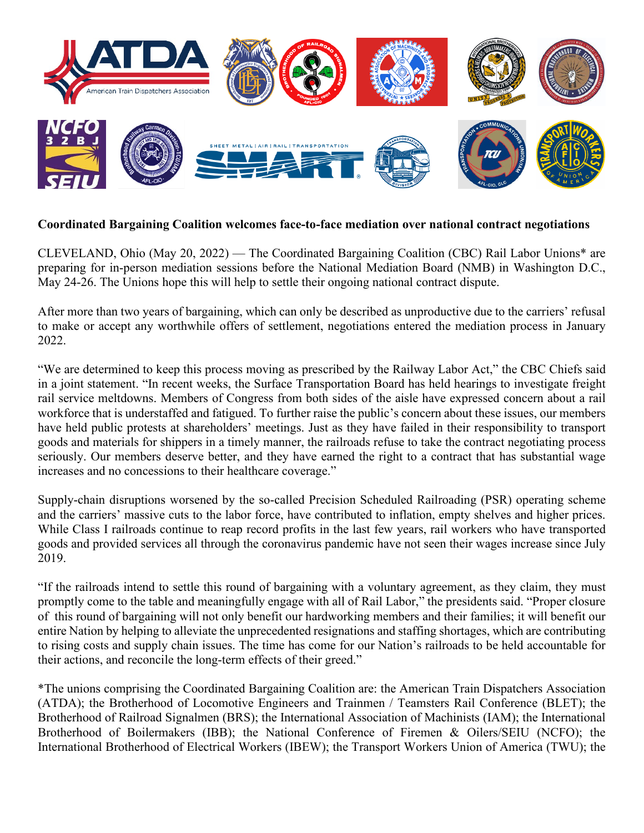

## **Coordinated Bargaining Coalition welcomes face-to-face mediation over national contract negotiations**

CLEVELAND, Ohio (May 20, 2022) — The Coordinated Bargaining Coalition (CBC) Rail Labor Unions\* are preparing for in-person mediation sessions before the National Mediation Board (NMB) in Washington D.C., May 24-26. The Unions hope this will help to settle their ongoing national contract dispute.

After more than two years of bargaining, which can only be described as unproductive due to the carriers' refusal to make or accept any worthwhile offers of settlement, negotiations entered the mediation process in January 2022.

"We are determined to keep this process moving as prescribed by the Railway Labor Act," the CBC Chiefs said in a joint statement. "In recent weeks, the Surface Transportation Board has held hearings to investigate freight rail service meltdowns. Members of Congress from both sides of the aisle have expressed concern about a rail workforce that is understaffed and fatigued. To further raise the public's concern about these issues, our members have held public protests at shareholders' meetings. Just as they have failed in their responsibility to transport goods and materials for shippers in a timely manner, the railroads refuse to take the contract negotiating process seriously. Our members deserve better, and they have earned the right to a contract that has substantial wage increases and no concessions to their healthcare coverage."

Supply-chain disruptions worsened by the so-called Precision Scheduled Railroading (PSR) operating scheme and the carriers' massive cuts to the labor force, have contributed to inflation, empty shelves and higher prices. While Class I railroads continue to reap record profits in the last few years, rail workers who have transported goods and provided services all through the coronavirus pandemic have not seen their wages increase since July 2019.

"If the railroads intend to settle this round of bargaining with a voluntary agreement, as they claim, they must promptly come to the table and meaningfully engage with all of Rail Labor," the presidents said. "Proper closure of this round of bargaining will not only benefit our hardworking members and their families; it will benefit our entire Nation by helping to alleviate the unprecedented resignations and staffing shortages, which are contributing to rising costs and supply chain issues. The time has come for our Nation's railroads to be held accountable for their actions, and reconcile the long-term effects of their greed."

\*The unions comprising the Coordinated Bargaining Coalition are: the American Train Dispatchers Association (ATDA); the Brotherhood of Locomotive Engineers and Trainmen / Teamsters Rail Conference (BLET); the Brotherhood of Railroad Signalmen (BRS); the International Association of Machinists (IAM); the International Brotherhood of Boilermakers (IBB); the National Conference of Firemen & Oilers/SEIU (NCFO); the International Brotherhood of Electrical Workers (IBEW); the Transport Workers Union of America (TWU); the